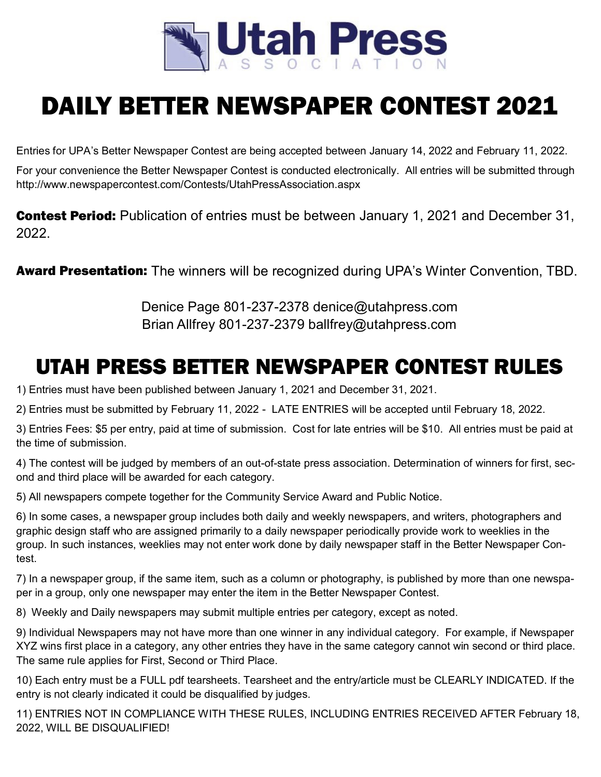

# DAILY BETTER NEWSPAPER CONTEST 2021

Entries for UPA's Better Newspaper Contest are being accepted between January 14, 2022 and February 11, 2022.

For your convenience the Better Newspaper Contest is conducted electronically. All entries will be submitted through http://www.newspapercontest.com/Contests/UtahPressAssociation.aspx

**Contest Period:** Publication of entries must be between January 1, 2021 and December 31, 2022.

**Award Presentation:** The winners will be recognized during UPA's Winter Convention, TBD.

Denice Page 801-237-2378 denice@utahpress.com Brian Allfrey 801-237-2379 ballfrey@utahpress.com

# UTAH PRESS BETTER NEWSPAPER CONTEST RULES

1) Entries must have been published between January 1, 2021 and December 31, 2021.

2) Entries must be submitted by February 11, 2022 - LATE ENTRIES will be accepted until February 18, 2022.

3) Entries Fees: \$5 per entry, paid at time of submission. Cost for late entries will be \$10. All entries must be paid at the time of submission.

4) The contest will be judged by members of an out-of-state press association. Determination of winners for first, second and third place will be awarded for each category.

5) All newspapers compete together for the Community Service Award and Public Notice.

6) In some cases, a newspaper group includes both daily and weekly newspapers, and writers, photographers and graphic design staff who are assigned primarily to a daily newspaper periodically provide work to weeklies in the group. In such instances, weeklies may not enter work done by daily newspaper staff in the Better Newspaper Contest.

7) In a newspaper group, if the same item, such as a column or photography, is published by more than one newspaper in a group, only one newspaper may enter the item in the Better Newspaper Contest.

8) Weekly and Daily newspapers may submit multiple entries per category, except as noted.

9) Individual Newspapers may not have more than one winner in any individual category. For example, if Newspaper XYZ wins first place in a category, any other entries they have in the same category cannot win second or third place. The same rule applies for First, Second or Third Place.

10) Each entry must be a FULL pdf tearsheets. Tearsheet and the entry/article must be CLEARLY INDICATED. If the entry is not clearly indicated it could be disqualified by judges.

11) ENTRIES NOT IN COMPLIANCE WITH THESE RULES, INCLUDING ENTRIES RECEIVED AFTER February 18, 2022, WILL BE DISQUALIFIED!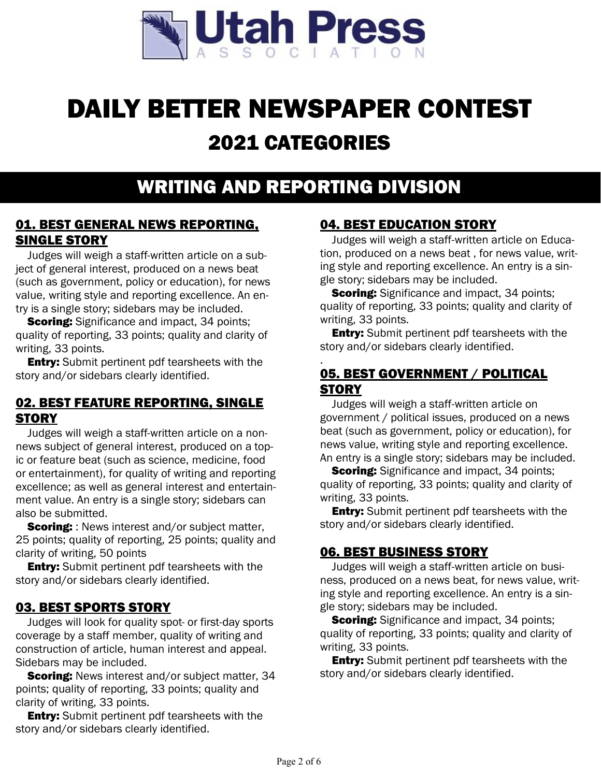

# DAILY BETTER NEWSPAPER CONTEST 2021 CATEGORIES

## WRITING AND REPORTING DIVISION

#### 01. BEST GENERAL NEWS REPORTING, SINGLE STORY

Judges will weigh a staff-written article on a subject of general interest, produced on a news beat (such as government, policy or education), for news value, writing style and reporting excellence. An entry is a single story; sidebars may be included.

**Scoring:** Significance and impact, 34 points; quality of reporting, 33 points; quality and clarity of writing, 33 points.

**Entry:** Submit pertinent pdf tearsheets with the story and/or sidebars clearly identified.

#### 02. BEST FEATURE REPORTING, SINGLE **STORY**

Judges will weigh a staff-written article on a nonnews subject of general interest, produced on a topic or feature beat (such as science, medicine, food or entertainment), for quality of writing and reporting excellence; as well as general interest and entertainment value. An entry is a single story; sidebars can also be submitted.

**Scoring:** : News interest and/or subject matter, 25 points; quality of reporting, 25 points; quality and clarity of writing, 50 points

**Entry:** Submit pertinent pdf tearsheets with the story and/or sidebars clearly identified.

#### 03. BEST SPORTS STORY

Judges will look for quality spot- or first-day sports coverage by a staff member, quality of writing and construction of article, human interest and appeal. Sidebars may be included.

**Scoring:** News interest and/or subject matter, 34 points; quality of reporting, 33 points; quality and clarity of writing, 33 points.

**Entry:** Submit pertinent pdf tearsheets with the story and/or sidebars clearly identified.

### 04. BEST EDUCATION STORY

Judges will weigh a staff-written article on Education, produced on a news beat , for news value, writing style and reporting excellence. An entry is a single story; sidebars may be included.

**Scoring:** Significance and impact, 34 points; quality of reporting, 33 points; quality and clarity of writing, 33 points.

**Entry:** Submit pertinent pdf tearsheets with the story and/or sidebars clearly identified.

#### . 05. BEST GOVERNMENT / POLITICAL **STORY**

Judges will weigh a staff-written article on government / political issues, produced on a news beat (such as government, policy or education), for news value, writing style and reporting excellence. An entry is a single story; sidebars may be included.

**Scoring:** Significance and impact, 34 points; quality of reporting, 33 points; quality and clarity of writing, 33 points.

**Entry:** Submit pertinent pdf tearsheets with the story and/or sidebars clearly identified.

#### 06. BEST BUSINESS STORY

Judges will weigh a staff-written article on business, produced on a news beat, for news value, writing style and reporting excellence. An entry is a single story; sidebars may be included.

**Scoring:** Significance and impact, 34 points; quality of reporting, 33 points; quality and clarity of writing, 33 points.

**Entry:** Submit pertinent pdf tearsheets with the story and/or sidebars clearly identified.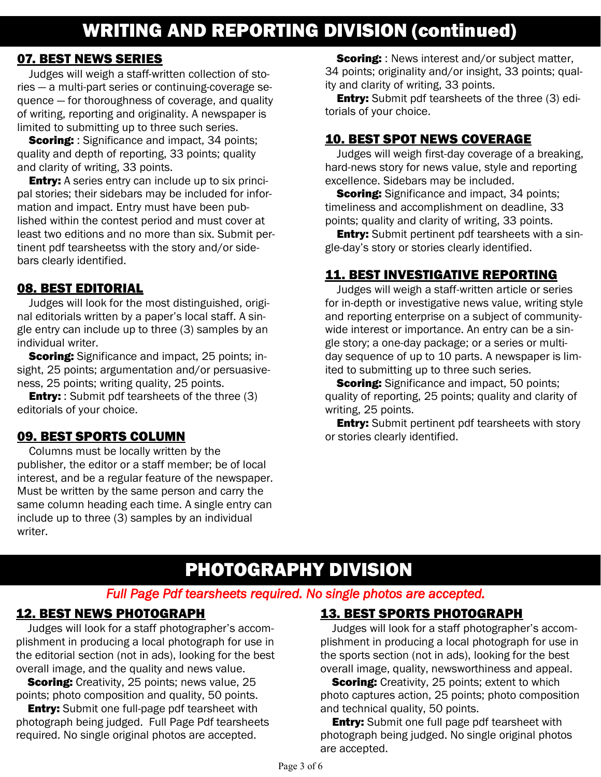#### 07. BEST NEWS SERIES

Judges will weigh a staff-written collection of stories — a multi-part series or continuing-coverage sequence — for thoroughness of coverage, and quality of writing, reporting and originality. A newspaper is limited to submitting up to three such series.

**Scoring:** : Significance and impact, 34 points; quality and depth of reporting, 33 points; quality and clarity of writing, 33 points.

**Entry:** A series entry can include up to six principal stories; their sidebars may be included for information and impact. Entry must have been published within the contest period and must cover at least two editions and no more than six. Submit pertinent pdf tearsheetss with the story and/or sidebars clearly identified.

#### 08. BEST EDITORIAL

Judges will look for the most distinguished, original editorials written by a paper's local staff. A single entry can include up to three (3) samples by an individual writer.

**Scoring:** Significance and impact, 25 points; insight, 25 points; argumentation and/or persuasiveness, 25 points; writing quality, 25 points.

**Entry:** : Submit pdf tearsheets of the three (3) editorials of your choice.

#### 09. BEST SPORTS COLUMN

Columns must be locally written by the publisher, the editor or a staff member; be of local interest, and be a regular feature of the newspaper. Must be written by the same person and carry the same column heading each time. A single entry can include up to three (3) samples by an individual writer.

**Scoring:** : News interest and/or subject matter, 34 points; originality and/or insight, 33 points; quality and clarity of writing, 33 points.

**Entry:** Submit pdf tearsheets of the three (3) editorials of your choice.

### 10. BEST SPOT NEWS COVERAGE

Judges will weigh first-day coverage of a breaking, hard-news story for news value, style and reporting excellence. Sidebars may be included.

**Scoring:** Significance and impact, 34 points; timeliness and accomplishment on deadline, 33 points; quality and clarity of writing, 33 points.

**Entry:** Submit pertinent pdf tearsheets with a single-day's story or stories clearly identified.

### 11. BEST INVESTIGATIVE REPORTING

Judges will weigh a staff-written article or series for in-depth or investigative news value, writing style and reporting enterprise on a subject of communitywide interest or importance. An entry can be a single story; a one-day package; or a series or multiday sequence of up to 10 parts. A newspaper is limited to submitting up to three such series.

**Scoring:** Significance and impact, 50 points; quality of reporting, 25 points; quality and clarity of writing, 25 points.

**Entry:** Submit pertinent pdf tearsheets with story or stories clearly identified.

# PHOTOGRAPHY DIVISION

#### *Full Page Pdf tearsheets required. No single photos are accepted.*

#### 12. BEST NEWS PHOTOGRAPH

Judges will look for a staff photographer's accomplishment in producing a local photograph for use in the editorial section (not in ads), looking for the best overall image, and the quality and news value.

**Scoring:** Creativity, 25 points; news value, 25 points; photo composition and quality, 50 points.

**Entry:** Submit one full-page pdf tearsheet with photograph being judged. Full Page Pdf tearsheets required. No single original photos are accepted.

#### 13. BEST SPORTS PHOTOGRAPH

Judges will look for a staff photographer's accomplishment in producing a local photograph for use in the sports section (not in ads), looking for the best overall image, quality, newsworthiness and appeal.

**Scoring:** Creativity, 25 points; extent to which photo captures action, 25 points; photo composition and technical quality, 50 points.

**Entry:** Submit one full page pdf tearsheet with photograph being judged. No single original photos are accepted.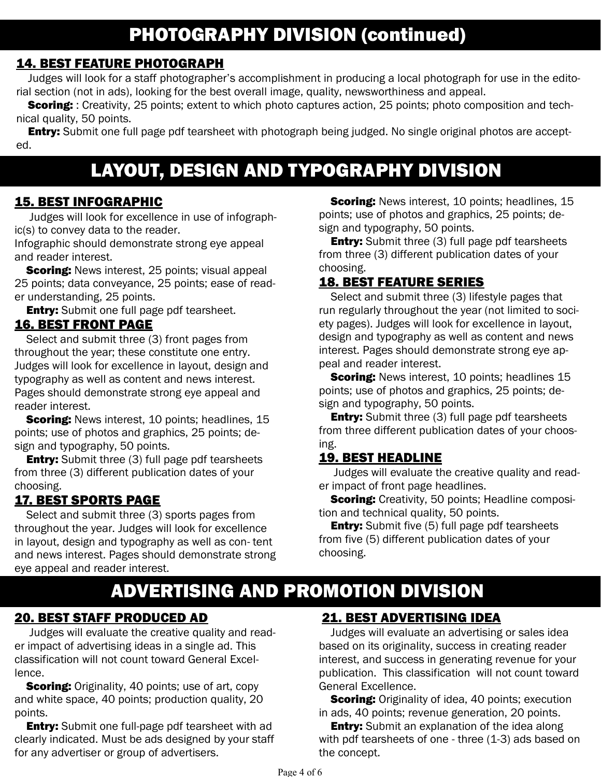## 14. BEST FEATURE PHOTOGRAPH

Judges will look for a staff photographer's accomplishment in producing a local photograph for use in the editorial section (not in ads), looking for the best overall image, quality, newsworthiness and appeal.

**Scoring:** : Creativity, 25 points; extent to which photo captures action, 25 points; photo composition and technical quality, 50 points.

**Entry:** Submit one full page pdf tearsheet with photograph being judged. No single original photos are accepted.

# LAYOUT, DESIGN AND TYPOGRAPHY DIVISION

#### 15. BEST INFOGRAPHIC

 Judges will look for excellence in use of infographic(s) to convey data to the reader.

Infographic should demonstrate strong eye appeal and reader interest.

**Scoring:** News interest, 25 points; visual appeal 25 points; data conveyance, 25 points; ease of reader understanding, 25 points.

**Entry:** Submit one full page pdf tearsheet.

#### 16. BEST FRONT PAGE

Select and submit three (3) front pages from throughout the year; these constitute one entry. Judges will look for excellence in layout, design and typography as well as content and news interest. Pages should demonstrate strong eye appeal and reader interest.

**Scoring:** News interest, 10 points; headlines, 15 points; use of photos and graphics, 25 points; design and typography, 50 points.

**Entry:** Submit three (3) full page pdf tearsheets from three (3) different publication dates of your choosing.

#### 17. BEST SPORTS PAGE

Select and submit three (3) sports pages from throughout the year. Judges will look for excellence in layout, design and typography as well as con- tent and news interest. Pages should demonstrate strong eye appeal and reader interest.

# ADVERTISING AND PROMOTION DIVISION

### 20. BEST STAFF PRODUCED AD

 Judges will evaluate the creative quality and reader impact of advertising ideas in a single ad. This classification will not count toward General Excellence.

**Scoring:** Originality, 40 points; use of art, copy and white space, 40 points; production quality, 20 points.

**Entry:** Submit one full-page pdf tearsheet with ad clearly indicated. Must be ads designed by your staff for any advertiser or group of advertisers.

**Scoring:** News interest, 10 points; headlines, 15 points; use of photos and graphics, 25 points; design and typography, 50 points.

**Entry:** Submit three (3) full page pdf tearsheets from three (3) different publication dates of your choosing.

### 18. BEST FEATURE SERIES

Select and submit three (3) lifestyle pages that run regularly throughout the year (not limited to society pages). Judges will look for excellence in layout, design and typography as well as content and news interest. Pages should demonstrate strong eye appeal and reader interest.

**Scoring:** News interest, 10 points; headlines 15 points; use of photos and graphics, 25 points; design and typography, 50 points.

**Entry:** Submit three (3) full page pdf tearsheets from three different publication dates of your choosing.

#### 19. BEST HEADLINE

 Judges will evaluate the creative quality and reader impact of front page headlines.

**Scoring:** Creativity, 50 points; Headline composition and technical quality, 50 points.

**Entry:** Submit five (5) full page pdf tearsheets from five (5) different publication dates of your choosing.

### 21. BEST ADVERTISING IDEA

Judges will evaluate an advertising or sales idea based on its originality, success in creating reader interest, and success in generating revenue for your publication. This classification will not count toward General Excellence.

**Scoring:** Originality of idea, 40 points; execution in ads, 40 points; revenue generation, 20 points.

**Entry:** Submit an explanation of the idea along with pdf tearsheets of one - three (1-3) ads based on the concept.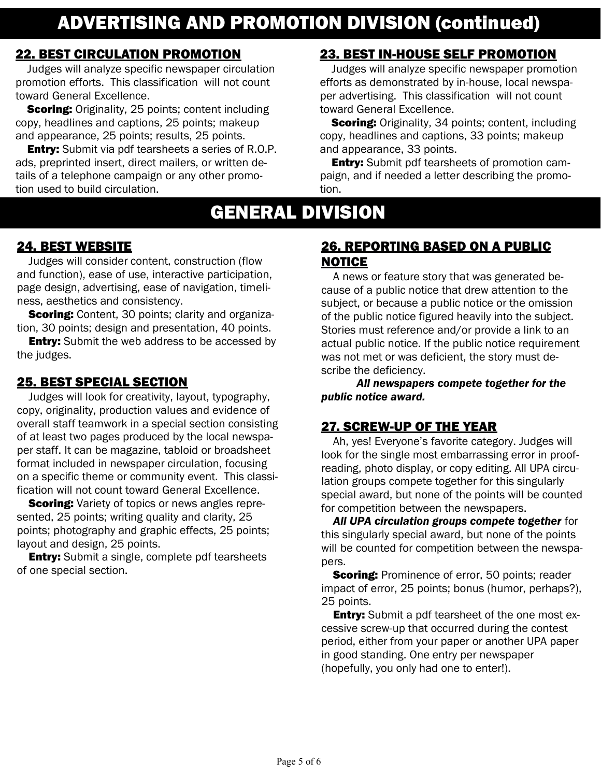# ADVERTISING AND PROMOTION DIVISION (continued)

#### 22. BEST CIRCULATION PROMOTION

Judges will analyze specific newspaper circulation promotion efforts. This classification will not count toward General Excellence.

**Scoring:** Originality, 25 points; content including copy, headlines and captions, 25 points; makeup and appearance, 25 points; results, 25 points.

**Entry:** Submit via pdf tearsheets a series of R.O.P. ads, preprinted insert, direct mailers, or written details of a telephone campaign or any other promotion used to build circulation.

### 23. BEST IN-HOUSE SELF PROMOTION

Judges will analyze specific newspaper promotion efforts as demonstrated by in-house, local newspaper advertising. This classification will not count toward General Excellence.

**Scoring:** Originality, 34 points; content, including copy, headlines and captions, 33 points; makeup and appearance, 33 points.

**Entry:** Submit pdf tearsheets of promotion campaign, and if needed a letter describing the promotion.

## GENERAL DIVISION

#### 24. BEST WEBSITE

Judges will consider content, construction (flow and function), ease of use, interactive participation, page design, advertising, ease of navigation, timeliness, aesthetics and consistency.

**Scoring:** Content, 30 points; clarity and organization, 30 points; design and presentation, 40 points.

**Entry:** Submit the web address to be accessed by the judges.

#### 25. BEST SPECIAL SECTION

Judges will look for creativity, layout, typography, copy, originality, production values and evidence of overall staff teamwork in a special section consisting of at least two pages produced by the local newspaper staff. It can be magazine, tabloid or broadsheet format included in newspaper circulation, focusing on a specific theme or community event. This classification will not count toward General Excellence.

**Scoring:** Variety of topics or news angles represented, 25 points; writing quality and clarity, 25 points; photography and graphic effects, 25 points; layout and design, 25 points.

**Entry:** Submit a single, complete pdf tearsheets of one special section.

#### 26. REPORTING BASED ON A PUBLIC NOTICE

A news or feature story that was generated because of a public notice that drew attention to the subject, or because a public notice or the omission of the public notice figured heavily into the subject. Stories must reference and/or provide a link to an actual public notice. If the public notice requirement was not met or was deficient, the story must describe the deficiency.

*All newspapers compete together for the public notice award.*

#### 27. SCREW-UP OF THE YEAR

Ah, yes! Everyone's favorite category. Judges will look for the single most embarrassing error in proofreading, photo display, or copy editing. All UPA circulation groups compete together for this singularly special award, but none of the points will be counted for competition between the newspapers.

*All UPA circulation groups compete together* for this singularly special award, but none of the points will be counted for competition between the newspapers.

**Scoring:** Prominence of error, 50 points; reader impact of error, 25 points; bonus (humor, perhaps?), 25 points.

**Entry:** Submit a pdf tearsheet of the one most excessive screw-up that occurred during the contest period, either from your paper or another UPA paper in good standing. One entry per newspaper (hopefully, you only had one to enter!).